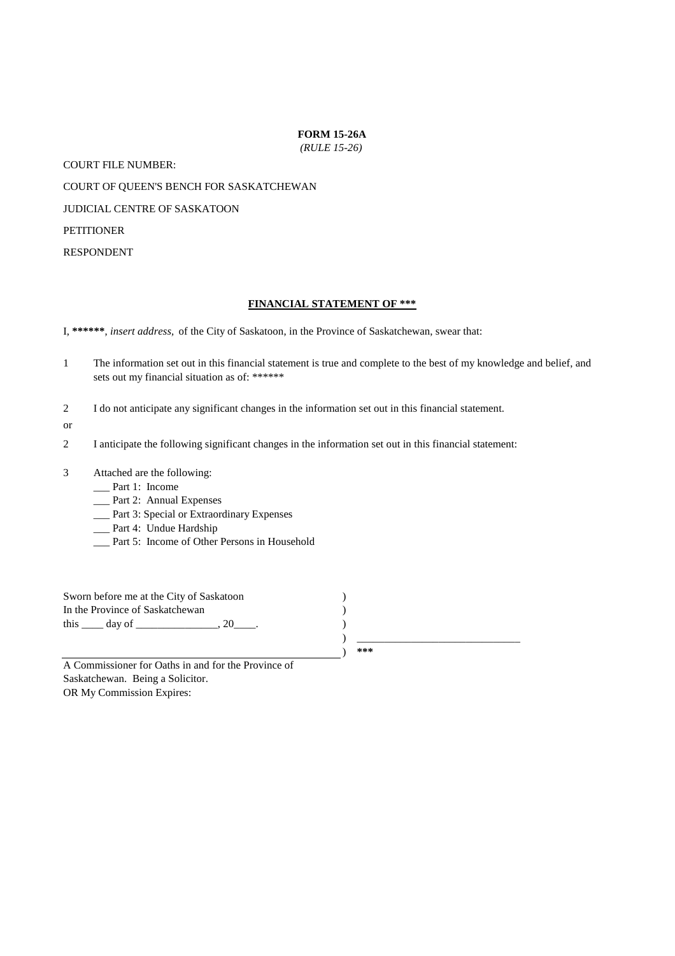#### **FORM 15-26A**

*(RULE 15-26)*

COURT FILE NUMBER:

COURT OF QUEEN'S BENCH FOR SASKATCHEWAN

JUDICIAL CENTRE OF SASKATOON

**PETITIONER** 

RESPONDENT

#### **FINANCIAL STATEMENT OF \*\*\***

I, **\*\*\*\*\*\***, *insert address,* of the City of Saskatoon, in the Province of Saskatchewan, swear that:

- 1 The information set out in this financial statement is true and complete to the best of my knowledge and belief, and sets out my financial situation as of: \*\*\*\*\*\*
- $\overline{2}$ I do not anticipate any significant changes in the information set out in this financial statement.
- or
- 2 I anticipate the following significant changes in the information set out in this financial statement:
- 3 Attached are the following:
	- \_\_\_ Part 1: Income
	- \_\_\_ Part 2: Annual Expenses
	- \_\_\_ Part 3: Special or Extraordinary Expenses
	- \_\_\_ Part 4: Undue Hardship
	- \_\_\_ Part 5: Income of Other Persons in Household

) ) **\*\*\*** ) \_\_\_\_\_\_\_\_\_\_\_\_\_\_\_\_\_\_\_\_\_\_\_\_\_\_\_\_\_\_ Sworn before me at the City of Saskatoon In the Province of Saskatchewan this  $\rule{1em}{0.15mm}$  day of  $\rule{1em}{0.15mm}$   $\qquad$   $\qquad$   $\qquad$   $\qquad$   $\qquad$   $\qquad$   $\qquad$   $\qquad$   $\qquad$   $\qquad$   $\qquad$   $\qquad$   $\qquad$   $\qquad$   $\qquad$   $\qquad$   $\qquad$   $\qquad$   $\qquad$   $\qquad$   $\qquad$   $\qquad$   $\qquad$   $\qquad$   $\qquad$   $\qquad$   $\qquad$   $\qquad$   $\qquad$   $\qquad$ ) )

Saskatchewan. Being a Solicitor. OR My Commission Expires: A Commissioner for Oaths in and for the Province of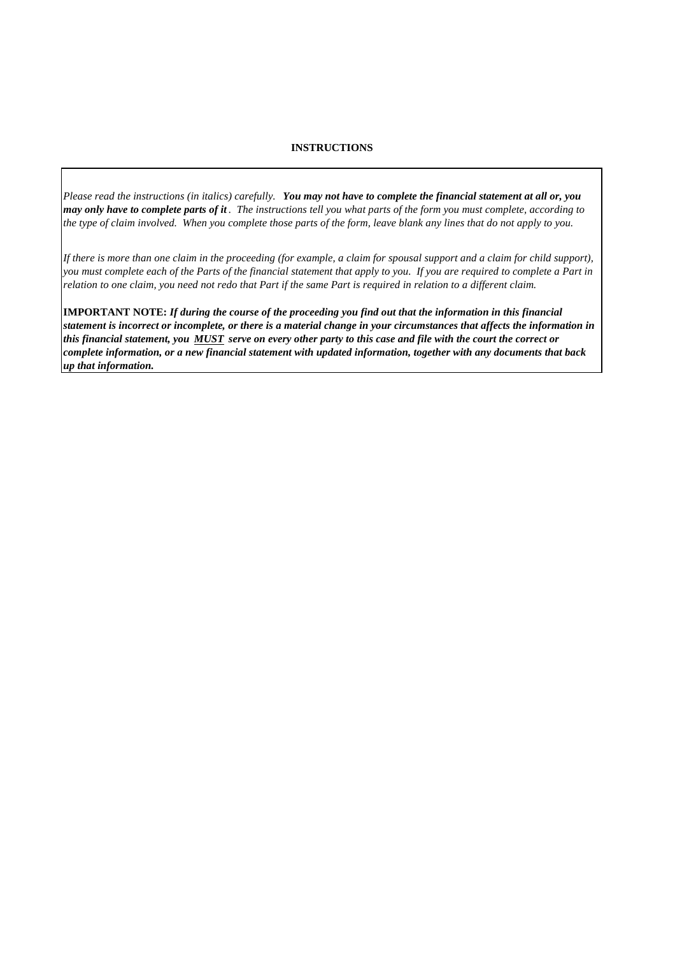### **INSTRUCTIONS**

*Please read the instructions (in italics) carefully. You may not have to complete the financial statement at all or, you may only have to complete parts of it . The instructions tell you what parts of the form you must complete, according to the type of claim involved. When you complete those parts of the form, leave blank any lines that do not apply to you.*

*If there is more than one claim in the proceeding (for example, a claim for spousal support and a claim for child support), you must complete each of the Parts of the financial statement that apply to you. If you are required to complete a Part in relation to one claim, you need not redo that Part if the same Part is required in relation to a different claim.*

**IMPORTANT NOTE:** *If during the course of the proceeding you find out that the information in this financial statement is incorrect or incomplete, or there is a material change in your circumstances that affects the information in this financial statement, you MUST serve on every other party to this case and file with the court the correct or complete information, or a new financial statement with updated information, together with any documents that back up that information.*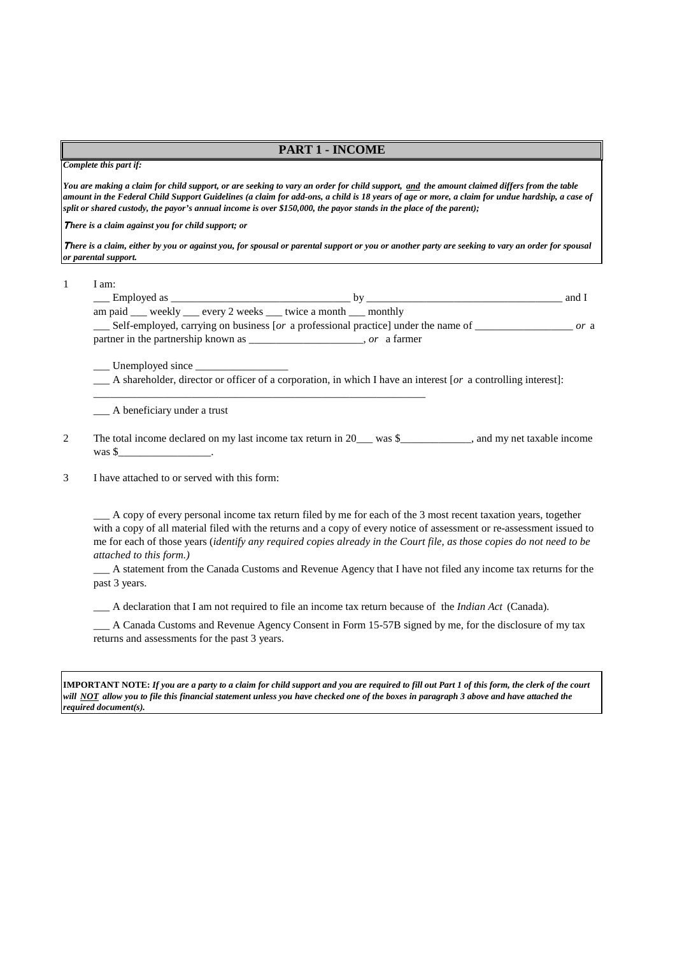### **PART 1 - INCOME**

#### *Complete this part if:*

*You are making a claim for child support, or are seeking to vary an order for child support, and the amount claimed differs from the table amount in the Federal Child Support Guidelines (a claim for add-ons, a child is 18 years of age or more, a claim for undue hardship, a case of split or shared custody, the payor's annual income is over \$150,000, the payor stands in the place of the parent);*

<sup>Τ</sup>*here is a claim against you for child support; or*

<sup>Τ</sup>*here is a claim, either by you or against you, for spousal or parental support or you or another party are seeking to vary an order for spousal or parental support.*

1 I am:

| Employed as                                        | hv                                                                                 | and 1 |
|----------------------------------------------------|------------------------------------------------------------------------------------|-------|
| am paid weekly every 2 weeks twice a month monthly |                                                                                    |       |
|                                                    | Self-employed, carrying on business [or a professional practice] under the name of | or a  |
| partner in the partnership known as _              | <i>or</i> a farmer                                                                 |       |

\_\_\_ Unemployed since \_\_\_\_\_\_\_\_\_\_\_\_\_\_\_\_\_

A shareholder, director or officer of a corporation, in which I have an interest [ $or$  a controlling interest]:

\_\_\_\_\_\_\_\_\_\_\_\_\_\_\_\_\_\_\_\_\_\_\_\_\_\_\_\_\_\_\_\_\_\_\_\_\_\_\_\_\_\_\_\_\_\_\_\_\_\_\_\_\_\_\_\_\_\_\_\_\_

\_\_\_ A beneficiary under a trust

2 The total income declared on my last income tax return in 20\_\_\_ was \$\_\_\_\_\_\_\_\_\_\_\_, and my net taxable income was  $\frac{1}{2}$ 

3 I have attached to or served with this form:

> \_\_\_ A copy of every personal income tax return filed by me for each of the 3 most recent taxation years, together with a copy of all material filed with the returns and a copy of every notice of assessment or re-assessment issued to me for each of those years (*identify any required copies already in the Court file, as those copies do not need to be attached to this form.)*

> \_\_\_ A statement from the Canada Customs and Revenue Agency that I have not filed any income tax returns for the past 3 years.

\_\_\_ A declaration that I am not required to file an income tax return because of the *Indian Act* (Canada).

\_\_\_ A Canada Customs and Revenue Agency Consent in Form 15-57B signed by me, for the disclosure of my tax returns and assessments for the past 3 years.

**IMPORTANT NOTE:** *If you are a party to a claim for child support and you are required to fill out Part 1 of this form, the clerk of the court will NOT allow you to file this financial statement unless you have checked one of the boxes in paragraph 3 above and have attached the required document(s).*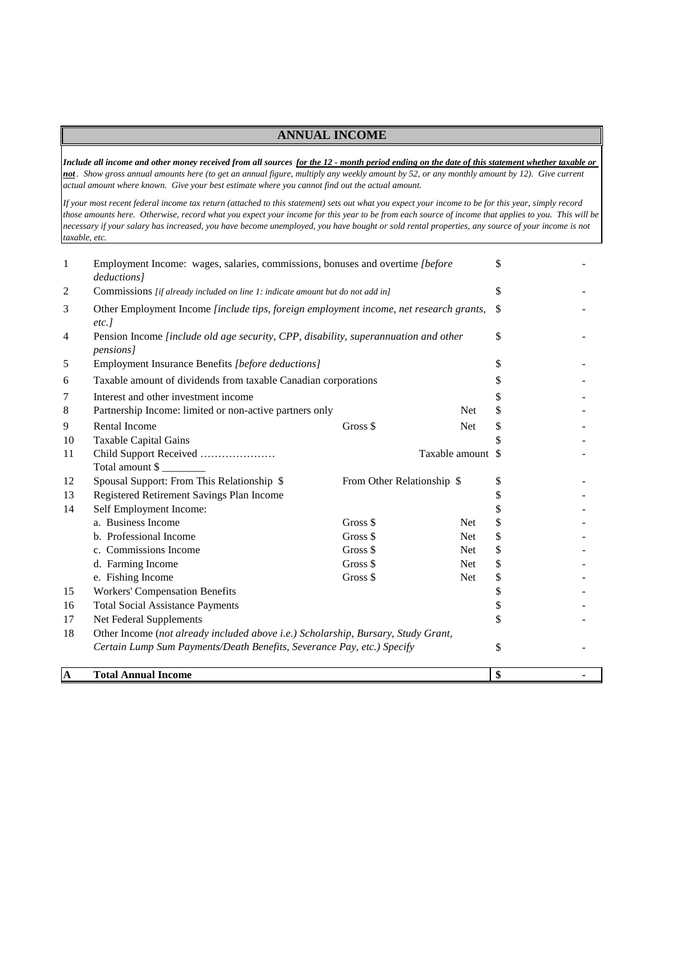## **ANNUAL INCOME**

*Include all income and other money received from all sources for the 12 - month period ending on the date of this statement whether taxable or not . Show gross annual amounts here (to get an annual figure, multiply any weekly amount by 52, or any monthly amount by 12). Give current actual amount where known. Give your best estimate where you cannot find out the actual amount.*

*If your most recent federal income tax return (attached to this statement) sets out what you expect your income to be for this year, simply record those amounts here. Otherwise, record what you expect your income for this year to be from each source of income that applies to you. This will be necessary if your salary has increased, you have become unemployed, you have bought or sold rental properties, any source of your income is not taxable, etc.*

| $\mathbf{A}$ | <b>Total Annual Income</b>                                                                               |                            |                   | \$ |  |
|--------------|----------------------------------------------------------------------------------------------------------|----------------------------|-------------------|----|--|
|              |                                                                                                          |                            |                   |    |  |
|              | Certain Lump Sum Payments/Death Benefits, Severance Pay, etc.) Specify                                   |                            |                   | \$ |  |
| 18           | Other Income (not already included above i.e.) Scholarship, Bursary, Study Grant,                        |                            |                   |    |  |
| 17           | Net Federal Supplements                                                                                  |                            |                   | \$ |  |
| 16           | <b>Total Social Assistance Payments</b>                                                                  |                            |                   | \$ |  |
| 15           | <b>Workers' Compensation Benefits</b>                                                                    |                            |                   | \$ |  |
|              | e. Fishing Income                                                                                        | Gross \$                   | Net               | \$ |  |
|              | d. Farming Income                                                                                        | Gross \$                   | <b>Net</b>        | \$ |  |
|              | c. Commissions Income                                                                                    | Gross \$                   | Net               | \$ |  |
|              | b. Professional Income                                                                                   | Gross \$                   | <b>Net</b>        | \$ |  |
|              | a. Business Income                                                                                       | Gross \$                   | <b>Net</b>        | \$ |  |
| 14           | Self Employment Income:                                                                                  |                            |                   | \$ |  |
| 13           | Registered Retirement Savings Plan Income                                                                |                            |                   | \$ |  |
| 12           | Spousal Support: From This Relationship \$                                                               | From Other Relationship \$ |                   | \$ |  |
|              | Total amount \$                                                                                          |                            |                   |    |  |
| 11           | Child Support Received                                                                                   |                            | Taxable amount \$ |    |  |
| 10           | <b>Taxable Capital Gains</b>                                                                             |                            |                   | \$ |  |
| 9            | Rental Income                                                                                            | Gross \$                   | Net               | \$ |  |
| 8            | Partnership Income: limited or non-active partners only                                                  |                            | Net               | \$ |  |
| 7            | Interest and other investment income                                                                     |                            |                   | \$ |  |
| 6            | Taxable amount of dividends from taxable Canadian corporations                                           |                            |                   | \$ |  |
| 5            | Employment Insurance Benefits [before deductions]                                                        |                            |                   | \$ |  |
| 4            | Pension Income [include old age security, CPP, disability, superannuation and other<br><i>pensions</i> ] |                            |                   | \$ |  |
| 3            | Other Employment Income [include tips, foreign employment income, net research grants,<br>$etc.$ ]       |                            |                   | -S |  |
| 2            | Commissions [if already included on line 1: indicate amount but do not add in]                           |                            | \$                |    |  |
| $\mathbf{1}$ | Employment Income: wages, salaries, commissions, bonuses and overtime [before<br>deductions]             |                            |                   |    |  |
|              |                                                                                                          |                            |                   | \$ |  |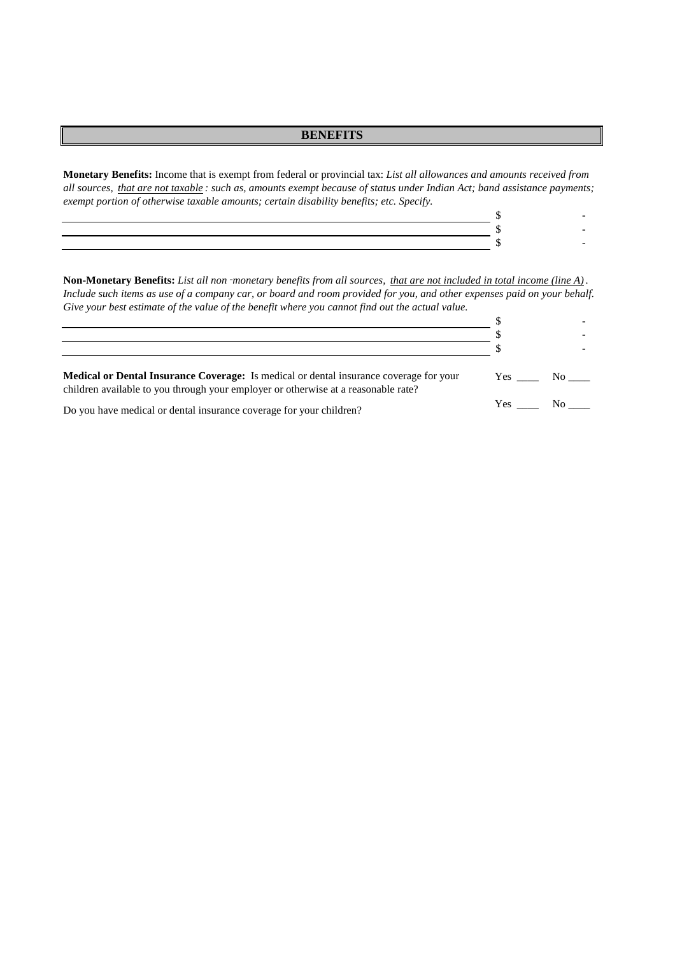### **BENEFITS**

**Monetary Benefits:** Income that is exempt from federal or provincial tax: *List all allowances and amounts received from all sources, that are not taxable : such as, amounts exempt because of status under Indian Act; band assistance payments; exempt portion of otherwise taxable amounts; certain disability benefits; etc. Specify.*

**Non-Monetary Benefits:** *List all non*‑*monetary benefits from all sources, that are not included in total income (line A) . Include such items as use of a company car, or board and room provided for you, and other expenses paid on your behalf. Give your best estimate of the value of the benefit where you cannot find out the actual value.*

| <b>Medical or Dental Insurance Coverage:</b> Is medical or dental insurance coverage for your<br>children available to you through your employer or otherwise at a reasonable rate? | Yes No |  |
|-------------------------------------------------------------------------------------------------------------------------------------------------------------------------------------|--------|--|
| Do you have medical or dental insurance coverage for your children?                                                                                                                 | Yes No |  |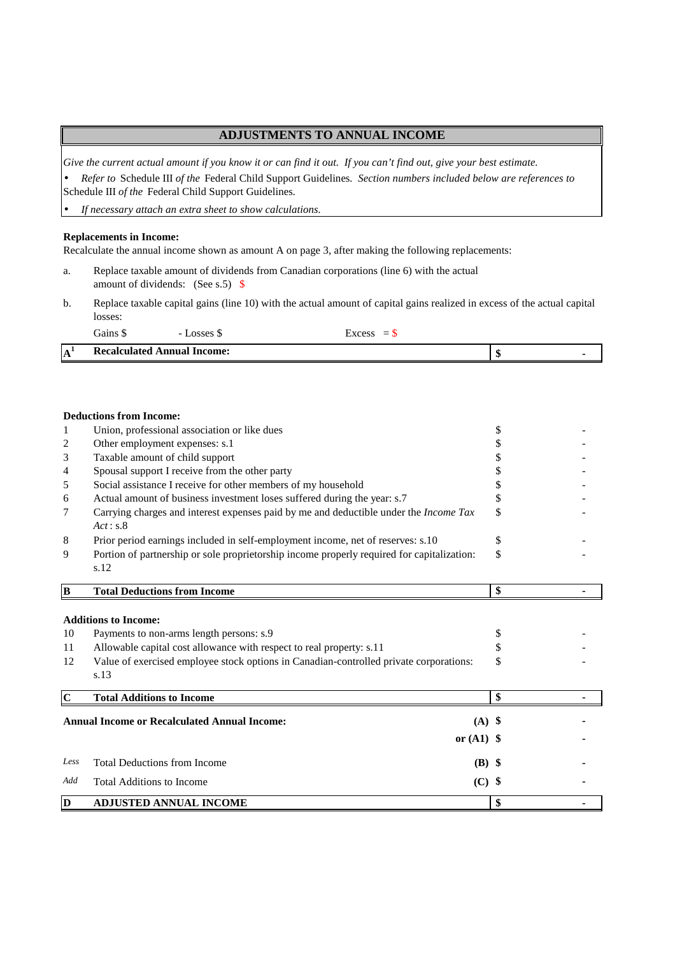### **ADJUSTMENTS TO ANNUAL INCOME**

*Give the current actual amount if you know it or can find it out. If you can't find out, give your best estimate.*

• *Refer to* Schedule III *of the* Federal Child Support Guidelines*. Section numbers included below are references to* Schedule III *of the* Federal Child Support Guidelines*.*

• *If necessary attach an extra sheet to show calculations.*

#### **Replacements in Income:**

Recalculate the annual income shown as amount A on page 3, after making the following replacements:

- a. Replace taxable amount of dividends from Canadian corporations (line 6) with the actual amount of dividends: (See s.5) \$
- b. Replace taxable capital gains (line 10) with the actual amount of capital gains realized in excess of the actual capital losses:

|                   | $\sim$ $\sim$<br>Gains∶     | $\alpha$ ceac<br>- | $\sim$<br>$\overline{\phantom{0}}$ |         |  |
|-------------------|-----------------------------|--------------------|------------------------------------|---------|--|
| ${\bf A}^{\star}$ | Recalculated Annual Income: |                    |                                    | O<br>АD |  |

#### **Deductions from Income:**

| 1              | Union, professional association or like dues                                                                                                                                                                                                      | \$             |  |
|----------------|---------------------------------------------------------------------------------------------------------------------------------------------------------------------------------------------------------------------------------------------------|----------------|--|
| 2              | Other employment expenses: s.1                                                                                                                                                                                                                    | S              |  |
| 3              | Taxable amount of child support                                                                                                                                                                                                                   |                |  |
| 4              | Spousal support I receive from the other party                                                                                                                                                                                                    |                |  |
| 5              | Social assistance I receive for other members of my household                                                                                                                                                                                     | \$             |  |
| 6              | Actual amount of business investment loses suffered during the year: s.7                                                                                                                                                                          | \$             |  |
| 7              | Carrying charges and interest expenses paid by me and deductible under the Income Tax<br>Act: s.8                                                                                                                                                 | \$             |  |
| 8              | Prior period earnings included in self-employment income, net of reserves: s.10                                                                                                                                                                   | \$             |  |
| 9              | Portion of partnership or sole proprietorship income properly required for capitalization:<br>s.12                                                                                                                                                | \$             |  |
| B              | <b>Total Deductions from Income</b>                                                                                                                                                                                                               | \$             |  |
| 10<br>11<br>12 | <b>Additions to Income:</b><br>Payments to non-arms length persons: s.9<br>Allowable capital cost allowance with respect to real property: s.11<br>Value of exercised employee stock options in Canadian-controlled private corporations:<br>s.13 | \$<br>\$<br>\$ |  |
| $\mathbf C$    | <b>Total Additions to Income</b>                                                                                                                                                                                                                  | \$             |  |
|                | <b>Annual Income or Recalculated Annual Income:</b><br>$(A)$ \$<br>or $(A1)$ \$                                                                                                                                                                   |                |  |
| Less           | <b>Total Deductions from Income</b><br>(B) \$                                                                                                                                                                                                     |                |  |
| Add            | <b>Total Additions to Income</b><br>$(C)$ \$                                                                                                                                                                                                      |                |  |
| D              | <b>ADJUSTED ANNUAL INCOME</b>                                                                                                                                                                                                                     | \$             |  |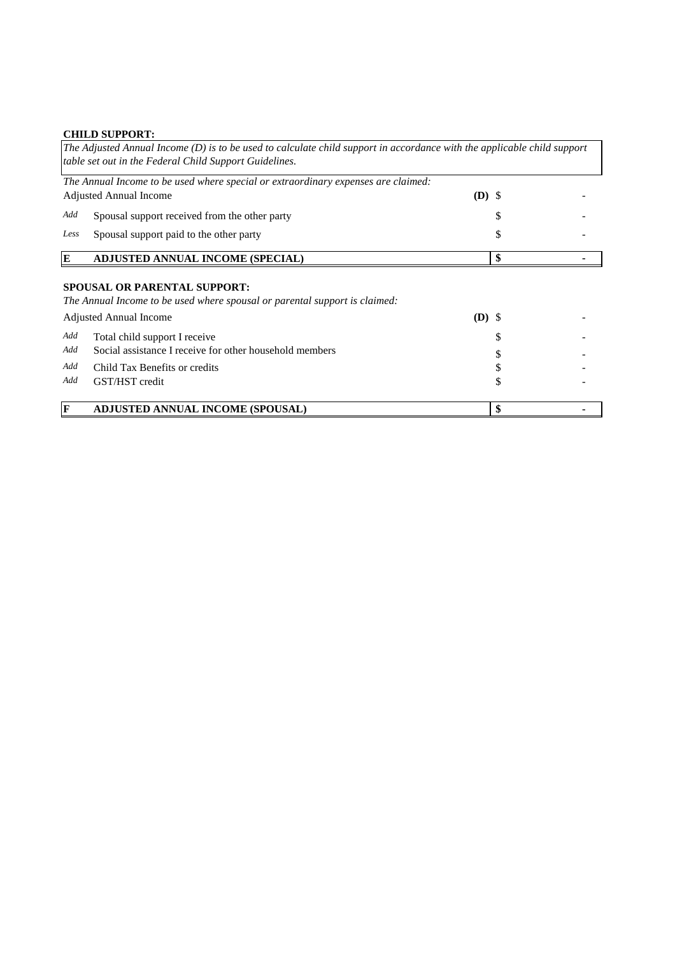# **CHILD SUPPORT:**

|      | The Adjusted Annual Income (D) is to be used to calculate child support in accordance with the applicable child support<br>table set out in the Federal Child Support Guidelines. |          |    |
|------|-----------------------------------------------------------------------------------------------------------------------------------------------------------------------------------|----------|----|
|      | The Annual Income to be used where special or extraordinary expenses are claimed:                                                                                                 |          |    |
|      | <b>Adjusted Annual Income</b>                                                                                                                                                     | $(D)$ \$ |    |
| Add  | Spousal support received from the other party                                                                                                                                     |          |    |
| Less | Spousal support paid to the other party                                                                                                                                           |          |    |
| E    | <b>ADJUSTED ANNUAL INCOME (SPECIAL)</b>                                                                                                                                           |          | \$ |
|      | <b>SPOUSAL OR PARENTAL SUPPORT:</b><br>The Annual Income to be used where spousal or parental support is claimed:<br><b>Adjusted Annual Income</b>                                | $(D)$ \$ |    |
| Add  | Total child support I receive                                                                                                                                                     |          |    |
| Add  | Social assistance I receive for other household members                                                                                                                           |          |    |
| Add  | Child Tax Benefits or credits                                                                                                                                                     |          |    |
| Add  | GST/HST credit                                                                                                                                                                    |          |    |
| F    | <b>ADJUSTED ANNUAL INCOME (SPOUSAL)</b>                                                                                                                                           |          | \$ |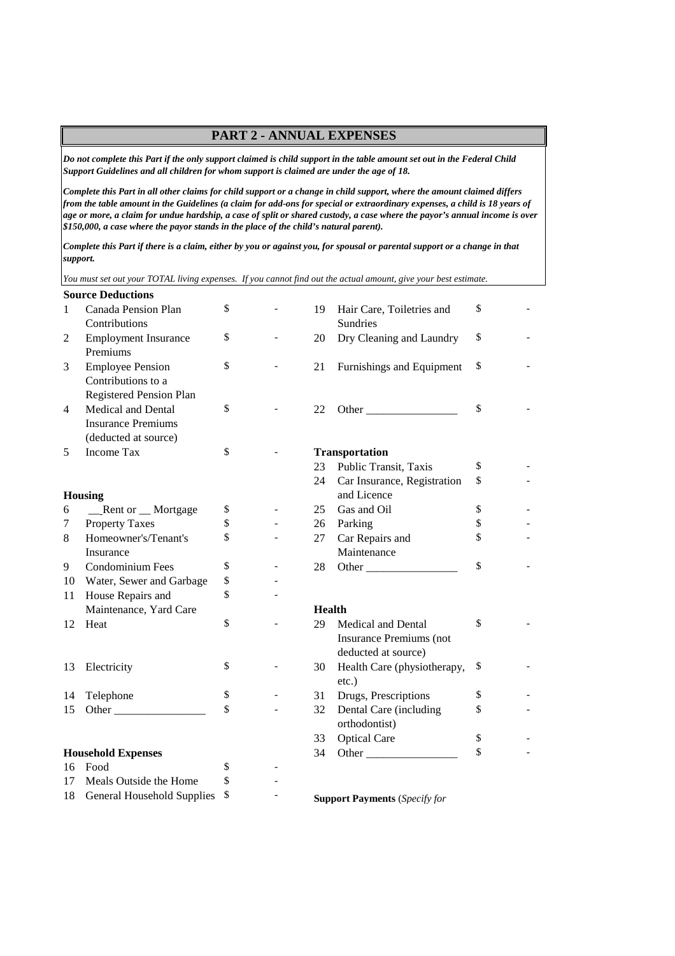## **PART 2 - ANNUAL EXPENSES**

*Do not complete this Part if the only support claimed is child support in the table amount set out in the Federal Child Support Guidelines and all children for whom support is claimed are under the age of 18.*

*Complete this Part in all other claims for child support or a change in child support, where the amount claimed differs from the table amount in the Guidelines (a claim for add-ons for special or extraordinary expenses, a child is 18 years of age or more, a claim for undue hardship, a case of split or shared custody, a case where the payor's annual income is over \$150,000, a case where the payor stands in the place of the child's natural parent).*

*Complete this Part if there is a claim, either by you or against you, for spousal or parental support or a change in that support.*

*You must set out your TOTAL living expenses. If you cannot find out the actual amount, give your best estimate.*

|    | <b>Source Deductions</b>                                                                                                                                                                                                            |    |               |                                      |    |
|----|-------------------------------------------------------------------------------------------------------------------------------------------------------------------------------------------------------------------------------------|----|---------------|--------------------------------------|----|
| 1  | Canada Pension Plan                                                                                                                                                                                                                 | \$ | 19            | Hair Care, Toiletries and            | \$ |
|    | Contributions                                                                                                                                                                                                                       |    |               | Sundries                             |    |
| 2  | <b>Employment Insurance</b>                                                                                                                                                                                                         | \$ | 20            | Dry Cleaning and Laundry             | \$ |
|    | Premiums                                                                                                                                                                                                                            |    |               |                                      |    |
| 3  | <b>Employee Pension</b>                                                                                                                                                                                                             | \$ | 21            | Furnishings and Equipment            | \$ |
|    | Contributions to a                                                                                                                                                                                                                  |    |               |                                      |    |
|    | Registered Pension Plan                                                                                                                                                                                                             |    |               |                                      |    |
| 4  | Medical and Dental                                                                                                                                                                                                                  | \$ | 22            | Other                                | \$ |
|    | <b>Insurance Premiums</b>                                                                                                                                                                                                           |    |               |                                      |    |
|    | (deducted at source)                                                                                                                                                                                                                |    |               |                                      |    |
| 5  | <b>Income Tax</b>                                                                                                                                                                                                                   | \$ |               | Transportation                       |    |
|    |                                                                                                                                                                                                                                     |    | 23            | Public Transit, Taxis                | \$ |
|    |                                                                                                                                                                                                                                     |    | 24            | Car Insurance, Registration          | \$ |
|    | <b>Housing</b>                                                                                                                                                                                                                      |    |               | and Licence                          |    |
| 6  | _Rent or _Mortgage                                                                                                                                                                                                                  | \$ | 25            | Gas and Oil                          | \$ |
| 7  | <b>Property Taxes</b>                                                                                                                                                                                                               | \$ | 26            | Parking                              | \$ |
| 8  | Homeowner's/Tenant's                                                                                                                                                                                                                | \$ | 27            | Car Repairs and                      | \$ |
|    | Insurance                                                                                                                                                                                                                           |    |               | Maintenance                          |    |
| 9  | Condominium Fees                                                                                                                                                                                                                    | \$ | 28            |                                      | \$ |
| 10 | Water, Sewer and Garbage                                                                                                                                                                                                            | \$ |               |                                      |    |
| 11 | House Repairs and                                                                                                                                                                                                                   | \$ |               |                                      |    |
|    | Maintenance, Yard Care                                                                                                                                                                                                              |    | <b>Health</b> |                                      |    |
| 12 | Heat                                                                                                                                                                                                                                | \$ | 29            | Medical and Dental                   | \$ |
|    |                                                                                                                                                                                                                                     |    |               | <b>Insurance Premiums (not</b>       |    |
|    |                                                                                                                                                                                                                                     |    |               | deducted at source)                  |    |
| 13 | Electricity                                                                                                                                                                                                                         | \$ | 30            | Health Care (physiotherapy,          | \$ |
|    |                                                                                                                                                                                                                                     |    |               | $etc.$ )                             |    |
| 14 | Telephone                                                                                                                                                                                                                           | \$ | 31            | Drugs, Prescriptions                 | \$ |
| 15 | <b>Other</b> control of the control of the control of the control of the control of the control of the control of the control of the control of the control of the control of the control of the control of the control of the cont | \$ | 32            | Dental Care (including               | \$ |
|    |                                                                                                                                                                                                                                     |    |               | orthodontist)                        |    |
|    |                                                                                                                                                                                                                                     |    | 33            | <b>Optical Care</b>                  | \$ |
|    | <b>Household Expenses</b>                                                                                                                                                                                                           |    | 34            |                                      | \$ |
| 16 | Food                                                                                                                                                                                                                                | \$ |               |                                      |    |
| 17 | Meals Outside the Home                                                                                                                                                                                                              | \$ |               |                                      |    |
| 18 | <b>General Household Supplies</b>                                                                                                                                                                                                   | \$ |               | <b>Support Payments</b> (Specify for |    |
|    |                                                                                                                                                                                                                                     |    |               |                                      |    |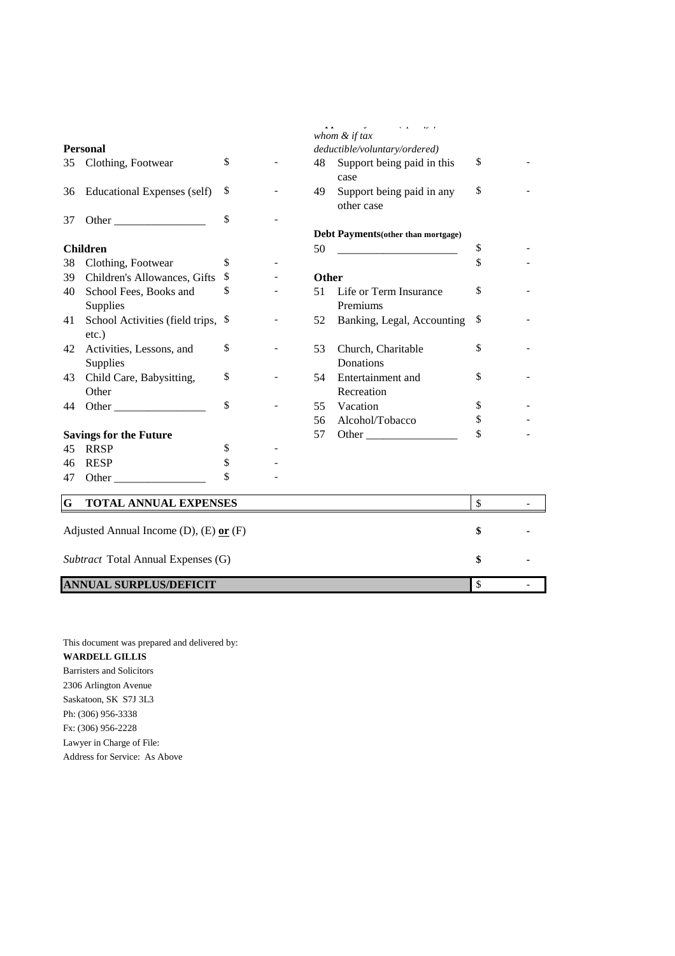|    |                                                                                                                                                                                                                                                                                                                                                                                                               |               |              | whom & if tax                           |                    |  |
|----|---------------------------------------------------------------------------------------------------------------------------------------------------------------------------------------------------------------------------------------------------------------------------------------------------------------------------------------------------------------------------------------------------------------|---------------|--------------|-----------------------------------------|--------------------|--|
|    | <b>Personal</b>                                                                                                                                                                                                                                                                                                                                                                                               |               |              | deductible/voluntary/ordered)           |                    |  |
|    | 35 Clothing, Footwear                                                                                                                                                                                                                                                                                                                                                                                         | \$            |              | 48 Support being paid in this<br>case   | \$                 |  |
| 36 | <b>Educational Expenses (self)</b>                                                                                                                                                                                                                                                                                                                                                                            | \$            | 49           | Support being paid in any<br>other case | \$                 |  |
| 37 |                                                                                                                                                                                                                                                                                                                                                                                                               | \$            |              |                                         |                    |  |
|    |                                                                                                                                                                                                                                                                                                                                                                                                               |               |              | Debt Payments(other than mortgage)      |                    |  |
|    | <b>Children</b>                                                                                                                                                                                                                                                                                                                                                                                               |               | 50           |                                         | \$                 |  |
| 38 | Clothing, Footwear                                                                                                                                                                                                                                                                                                                                                                                            | \$            |              |                                         | \$                 |  |
| 39 | Children's Allowances, Gifts                                                                                                                                                                                                                                                                                                                                                                                  | \$            | <b>Other</b> |                                         |                    |  |
| 40 | School Fees, Books and                                                                                                                                                                                                                                                                                                                                                                                        | \$            | 51           | Life or Term Insurance<br>Premiums      | \$                 |  |
|    | Supplies                                                                                                                                                                                                                                                                                                                                                                                                      | <sup>\$</sup> |              |                                         |                    |  |
| 41 | School Activities (field trips,<br>$etc.$ )                                                                                                                                                                                                                                                                                                                                                                   |               | 52           | Banking, Legal, Accounting              | \$                 |  |
| 42 | Activities, Lessons, and                                                                                                                                                                                                                                                                                                                                                                                      | \$            | 53           | Church, Charitable                      | \$                 |  |
|    | Supplies                                                                                                                                                                                                                                                                                                                                                                                                      |               |              | Donations                               |                    |  |
| 43 | Child Care, Babysitting,                                                                                                                                                                                                                                                                                                                                                                                      | \$            | 54           | Entertainment and                       | \$                 |  |
|    | Other                                                                                                                                                                                                                                                                                                                                                                                                         |               |              | Recreation                              |                    |  |
| 44 | Other                                                                                                                                                                                                                                                                                                                                                                                                         | \$            | 55           | Vacation                                | \$                 |  |
|    |                                                                                                                                                                                                                                                                                                                                                                                                               |               | 56           | Alcohol/Tobacco                         | \$                 |  |
|    | <b>Savings for the Future</b>                                                                                                                                                                                                                                                                                                                                                                                 |               | 57           |                                         | \$                 |  |
| 45 | <b>RRSP</b>                                                                                                                                                                                                                                                                                                                                                                                                   | \$            |              |                                         |                    |  |
| 46 | <b>RESP</b>                                                                                                                                                                                                                                                                                                                                                                                                   | \$            |              |                                         |                    |  |
| 47 | Other $\frac{1}{\sqrt{1-\frac{1}{2}}\sqrt{1-\frac{1}{2}}\sqrt{1-\frac{1}{2}}\sqrt{1-\frac{1}{2}}\sqrt{1-\frac{1}{2}}\sqrt{1-\frac{1}{2}}\sqrt{1-\frac{1}{2}}\sqrt{1-\frac{1}{2}}\sqrt{1-\frac{1}{2}}\sqrt{1-\frac{1}{2}}\sqrt{1-\frac{1}{2}}\sqrt{1-\frac{1}{2}}\sqrt{1-\frac{1}{2}}\sqrt{1-\frac{1}{2}}\sqrt{1-\frac{1}{2}}\sqrt{1-\frac{1}{2}}\sqrt{1-\frac{1}{2}}\sqrt{1-\frac{1}{2}}\sqrt{1-\frac{1}{2}}$ | \$            |              |                                         |                    |  |
| G  | <b>TOTAL ANNUAL EXPENSES</b>                                                                                                                                                                                                                                                                                                                                                                                  |               |              |                                         | \$                 |  |
|    | Adjusted Annual Income (D), $(E)$ or $(F)$                                                                                                                                                                                                                                                                                                                                                                    |               |              |                                         | \$                 |  |
|    | Subtract Total Annual Expenses (G)                                                                                                                                                                                                                                                                                                                                                                            |               |              |                                         | \$                 |  |
|    | <b>ANNUAL SURPLUS/DEFICIT</b>                                                                                                                                                                                                                                                                                                                                                                                 |               |              |                                         | $\mathbf{\hat{S}}$ |  |

This document was prepared and delivered by: **WARDELL GILLIS** Barristers and Solicitors 2306 Arlington Avenue Saskatoon, SK S7J 3L3 Ph: (306) 956-3338 Fx: (306) 956-2228 Lawyer in Charge of File: Address for Service: As Above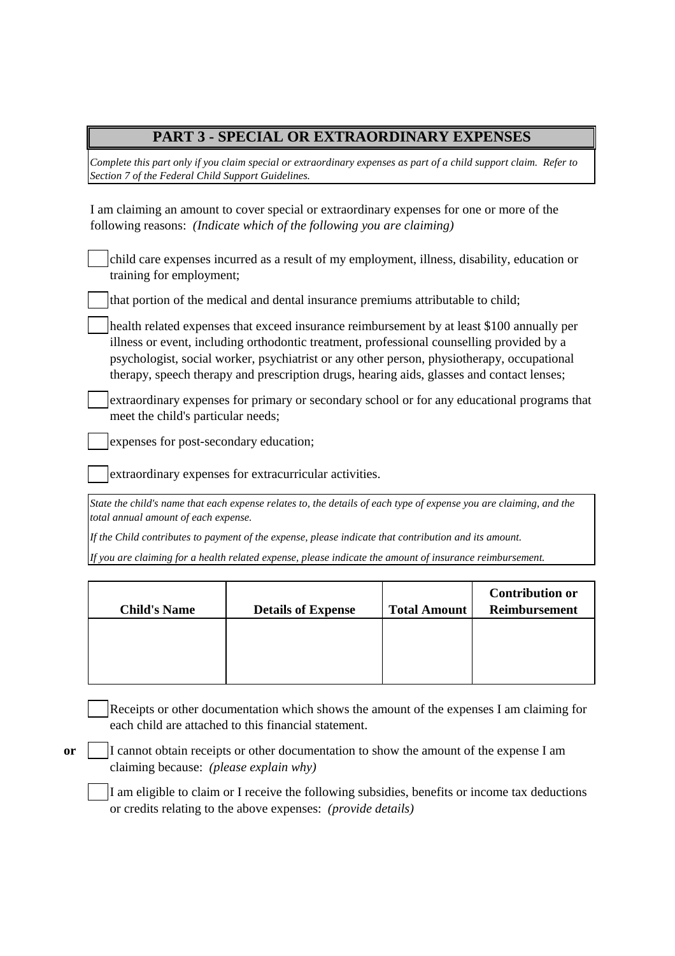## **PART 3 - SPECIAL OR EXTRAORDINARY EXPENSES**

*Complete this part only if you claim special or extraordinary expenses as part of a child support claim. Refer to Section 7 of the Federal Child Support Guidelines.*

I am claiming an amount to cover special or extraordinary expenses for one or more of the following reasons: *(Indicate which of the following you are claiming)*

| child care expenses incurred as a result of my employment, illness, disability, education or |
|----------------------------------------------------------------------------------------------|
| training for employment;                                                                     |

that portion of the medical and dental insurance premiums attributable to child;

health related expenses that exceed insurance reimbursement by at least \$100 annually per illness or event, including orthodontic treatment, professional counselling provided by a psychologist, social worker, psychiatrist or any other person, physiotherapy, occupational therapy, speech therapy and prescription drugs, hearing aids, glasses and contact lenses;

extraordinary expenses for primary or secondary school or for any educational programs that meet the child's particular needs;

expenses for post-secondary education;

extraordinary expenses for extracurricular activities.

*State the child's name that each expense relates to, the details of each type of expense you are claiming, and the total annual amount of each expense.*

*If the Child contributes to payment of the expense, please indicate that contribution and its amount.*

*If you are claiming for a health related expense, please indicate the amount of insurance reimbursement.*

| <b>Child's Name</b> | <b>Details of Expense</b> | <b>Total Amount</b> | <b>Contribution or</b><br>Reimbursement |
|---------------------|---------------------------|---------------------|-----------------------------------------|
|                     |                           |                     |                                         |
|                     |                           |                     |                                         |

Receipts or other documentation which shows the amount of the expenses I am claiming for each child are attached to this financial statement.

**or**

I cannot obtain receipts or other documentation to show the amount of the expense I am claiming because: *(please explain why)*

I am eligible to claim or I receive the following subsidies, benefits or income tax deductions or credits relating to the above expenses: *(provide details)*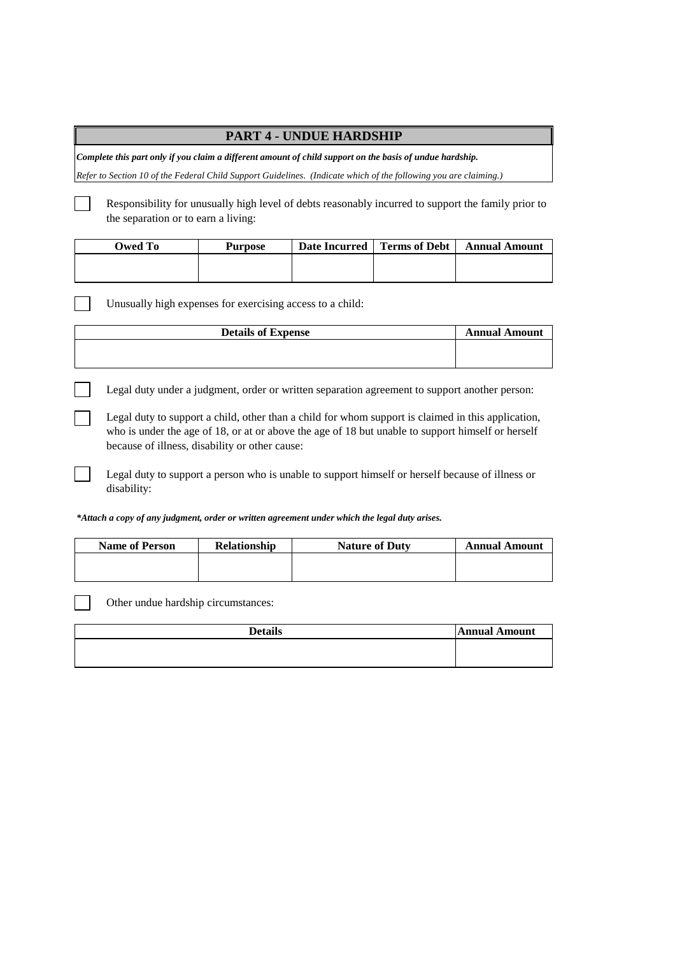## **PART 4 - UNDUE HARDSHIP**

*Complete this part only if you claim a different amount of child support on the basis of undue hardship.*

*Refer to Section 10 of the Federal Child Support Guidelines. (Indicate which of the following you are claiming.)*

Responsibility for unusually high level of debts reasonably incurred to support the family prior to the separation or to earn a living:

| Owed To | Purpose | Date Incurred   Terms of Debt | <b>Annual Amount</b> |
|---------|---------|-------------------------------|----------------------|
|         |         |                               |                      |
|         |         |                               |                      |

Unusually high expenses for exercising access to a child:

| <b>Details of Expense</b> | <b>Annual Amount</b> |
|---------------------------|----------------------|
|                           |                      |
|                           |                      |

Legal duty under a judgment, order or written separation agreement to support another person:

Legal duty to support a child, other than a child for whom support is claimed in this application, who is under the age of 18, or at or above the age of 18 but unable to support himself or herself because of illness, disability or other cause:

Legal duty to support a person who is unable to support himself or herself because of illness or disability:

*\*Attach a copy of any judgment, order or written agreement under which the legal duty arises.*

| <b>Name of Person</b> | <b>Relationship</b> | <b>Nature of Duty</b> | <b>Annual Amount</b> |
|-----------------------|---------------------|-----------------------|----------------------|
|                       |                     |                       |                      |
|                       |                     |                       |                      |

Other undue hardship circumstances:

| <b>Details</b> | <b>Annual Amount</b> |
|----------------|----------------------|
|                |                      |
|                |                      |